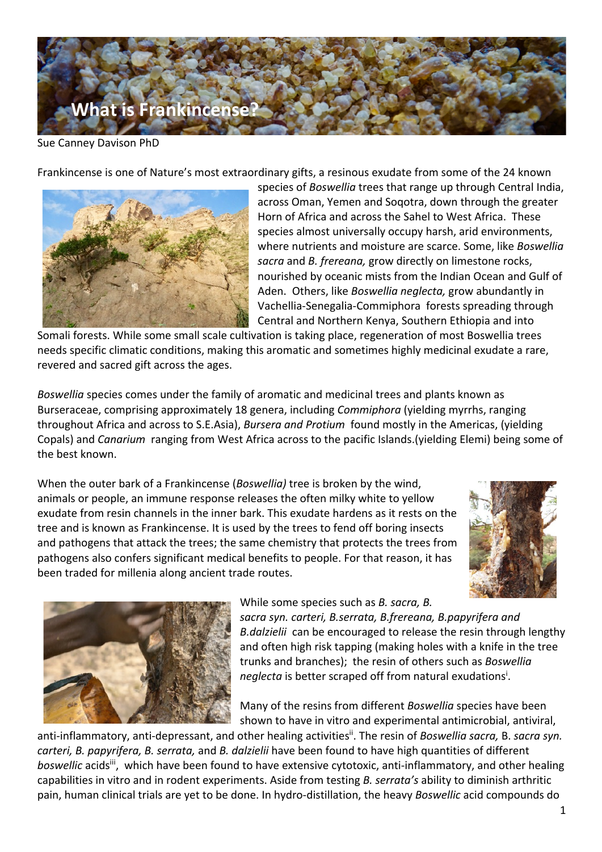

Sue Canney Davison PhD

Frankincense is one of Nature's most extraordinary gifts, a resinous exudate from some of the 24 known



species of *Boswellia* trees that range up through Central India, across Oman, Yemen and Soqotra, down through the greater Horn of Africa and across the Sahel to West Africa. These species almost universally occupy harsh, arid environments, where nutrients and moisture are scarce. Some, like *Boswellia sacra* and *B. frereana,* grow directly on limestone rocks, nourished by oceanic mists from the Indian Ocean and Gulf of Aden. Others, like *Boswellia neglecta,* grow abundantly in Vachellia-Senegalia-Commiphora forests spreading through Central and Northern Kenya, Southern Ethiopia and into

Somali forests. While some small scale cultivation is taking place, regeneration of most Boswellia trees needs specific climatic conditions, making this aromatic and sometimes highly medicinal exudate a rare, revered and sacred gift across the ages.

*Boswellia* species comes under the family of aromatic and medicinal trees and plants known as Burseraceae, comprising approximately 18 genera, including *Commiphora* (yielding myrrhs, ranging throughout Africa and across to S.E.Asia), *Bursera and Protium* found mostly in the Americas, (yielding Copals) and *Canarium* ranging from West Africa across to the pacific Islands.(yielding Elemi) being some of the best known.

When the outer bark of a Frankincense (*Boswellia)* tree is broken by the wind, animals or people, an immune response releases the often milky white to yellow exudate from resin channels in the inner bark. This exudate hardens as it rests on the tree and is known as Frankincense. It is used by the trees to fend off boring insects and pathogens that attack the trees; the same chemistry that protects the trees from pathogens also confers significant medical benefits to people. For that reason, it has been traded for millenia along ancient trade routes.





While some species such as *B. sacra, B.* 

*sacra syn. carteri, B.serrata, B.frereana, B.papyrifera and B.dalzielii* can be encouraged to release the resin through lengthy and often high risk tapping (making holes with a knife in the tree trunks and branches); the resin of others such as *Boswellia*  neglecta is better scraped off from natural exudations<sup>i</sup>.

Many of the resins from different *Boswellia* species have been shown to have in vitro and experimental antimicrobial, antiviral,

anti-inflammatory, anti-depressant, and other healing activities<sup>ii</sup>. The resin of *Boswellia sacra,* B. *sacra syn. carteri, B. papyrifera, B. serrata,* and *B. dalzielii* have been found to have high quantities of different boswellic acids<sup>iii</sup>, which have been found to have extensive cytotoxic, anti-inflammatory, and other healing capabilities in vitro and in rodent experiments. Aside from testing *B. serrata's* ability to diminish arthritic pain, human clinical trials are yet to be done. In hydro-distillation, the heavy *Boswellic* acid compounds do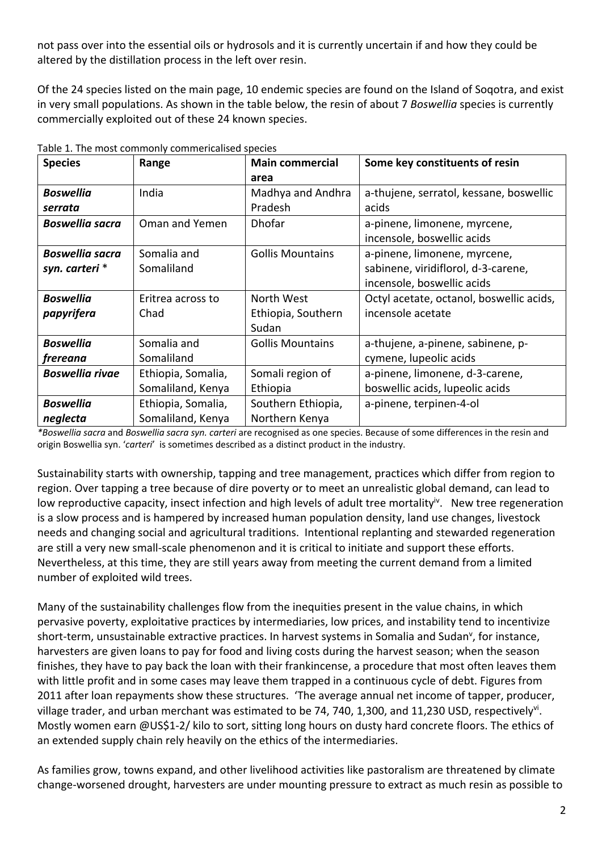not pass over into the essential oils or hydrosols and it is currently uncertain if and how they could be altered by the distillation process in the left over resin.

Of the 24 species listed on the main page, 10 endemic species are found on the Island of Soqotra, and exist in very small populations. As shown in the table below, the resin of about 7 *Boswellia* species is currently commercially exploited out of these 24 known species.

| <b>Species</b>         | Range              | <b>Main commercial</b>  | Some key constituents of resin           |
|------------------------|--------------------|-------------------------|------------------------------------------|
|                        |                    | area                    |                                          |
| <b>Boswellia</b>       | India              | Madhya and Andhra       | a-thujene, serratol, kessane, boswellic  |
| serrata                |                    | Pradesh                 | acids                                    |
| <b>Boswellia sacra</b> | Oman and Yemen     | <b>Dhofar</b>           | a-pinene, limonene, myrcene,             |
|                        |                    |                         | incensole, boswellic acids               |
| <b>Boswellia sacra</b> | Somalia and        | <b>Gollis Mountains</b> | a-pinene, limonene, myrcene,             |
| syn. carteri *         | Somaliland         |                         | sabinene, viridiflorol, d-3-carene,      |
|                        |                    |                         | incensole, boswellic acids               |
| <b>Boswellia</b>       | Eritrea across to  | North West              | Octyl acetate, octanol, boswellic acids, |
| papyrifera             | Chad               | Ethiopia, Southern      | incensole acetate                        |
|                        |                    | Sudan                   |                                          |
| <b>Boswellia</b>       | Somalia and        | <b>Gollis Mountains</b> | a-thujene, a-pinene, sabinene, p-        |
| frereana               | Somaliland         |                         | cymene, lupeolic acids                   |
| <b>Boswellia rivae</b> | Ethiopia, Somalia, | Somali region of        | a-pinene, limonene, d-3-carene,          |
|                        | Somaliland, Kenya  | Ethiopia                | boswellic acids, lupeolic acids          |
| <b>Boswellia</b>       | Ethiopia, Somalia, | Southern Ethiopia,      | a-pinene, terpinen-4-ol                  |
| neglecta               | Somaliland, Kenya  | Northern Kenya          |                                          |

Table 1. The most commonly commericalised species

*\*Boswellia sacra* and *Boswellia sacra syn. carteri* are recognised as one species. Because of some differences in the resin and origin Boswellia syn. '*carteri*' is sometimes described as a distinct product in the industry.

Sustainability starts with ownership, tapping and tree management, practices which differ from region to region. Over tapping a tree because of dire poverty or to meet an unrealistic global demand, can lead to low reproductive capacity, insect infection and high levels of adult tree mortality<sup>iv</sup>. New tree regeneration is a slow process and is hampered by increased human population density, land use changes, livestock needs and changing social and agricultural traditions. Intentional replanting and stewarded regeneration are still a very new small-scale phenomenon and it is critical to initiate and support these efforts. Nevertheless, at this time, they are still years away from meeting the current demand from a limited number of exploited wild trees.

Many of the sustainability challenges flow from the inequities present in the value chains, in which pervasive poverty, exploitative practices by intermediaries, low prices, and instability tend to incentivize short-term, unsustainable extractive practices. In harvest systems in Somalia and Sudan<sup>v</sup>, for instance, harvesters are given loans to pay for food and living costs during the harvest season; when the season finishes, they have to pay back the loan with their frankincense, a procedure that most often leaves them with little profit and in some cases may leave them trapped in a continuous cycle of debt. Figures from 2011 after loan repayments show these structures. 'The average annual net income of tapper, producer, village trader, and urban merchant was estimated to be 74, 740, 1,300, and 11,230 USD, respectively<sup>vi</sup>. Mostly women earn @US\$1-2/ kilo to sort, sitting long hours on dusty hard concrete floors. The ethics of an extended supply chain rely heavily on the ethics of the intermediaries.

As families grow, towns expand, and other livelihood activities like pastoralism are threatened by climate change-worsened drought, harvesters are under mounting pressure to extract as much resin as possible to